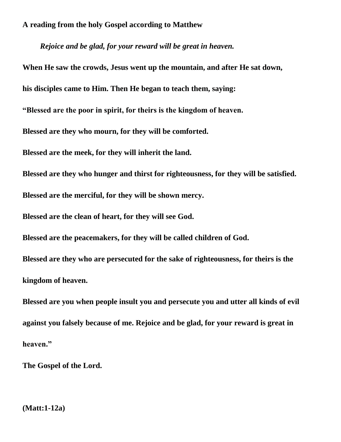*Rejoice and be glad, for your reward will be great in heaven.* 

**When He saw the crowds, Jesus went up the mountain, and after He sat down, his disciples came to Him. Then He began to teach them, saying: "Blessed are the poor in spirit, for theirs is the kingdom of heaven. Blessed are they who mourn, for they will be comforted. Blessed are the meek, for they will inherit the land. Blessed are they who hunger and thirst for righteousness, for they will be satisfied. Blessed are the merciful, for they will be shown mercy. Blessed are the clean of heart, for they will see God. Blessed are the peacemakers, for they will be called children of God. Blessed are they who are persecuted for the sake of righteousness, for theirs is the kingdom of heaven. Blessed are you when people insult you and persecute you and utter all kinds of evil** 

**against you falsely because of me. Rejoice and be glad, for your reward is great in heaven."**

**The Gospel of the Lord.**

**(Matt:1-12a)**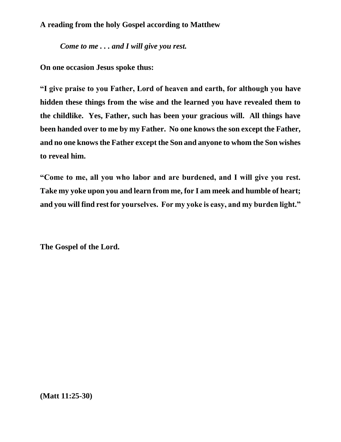*Come to me . . . and I will give you rest.*

**On one occasion Jesus spoke thus:**

**"I give praise to you Father, Lord of heaven and earth, for although you have hidden these things from the wise and the learned you have revealed them to the childlike. Yes, Father, such has been your gracious will. All things have been handed over to me by my Father. No one knows the son except the Father, and no one knows the Father except the Son and anyone to whom the Son wishes to reveal him.**

**"Come to me, all you who labor and are burdened, and I will give you rest. Take my yoke upon you and learn from me, for I am meek and humble of heart; and you will find rest for yourselves. For my yoke is easy, and my burden light."**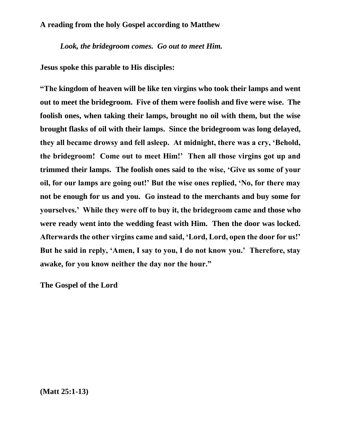*Look, the bridegroom comes. Go out to meet Him.*

**Jesus spoke this parable to His disciples:**

**"The kingdom of heaven will be like ten virgins who took their lamps and went out to meet the bridegroom. Five of them were foolish and five were wise. The foolish ones, when taking their lamps, brought no oil with them, but the wise brought flasks of oil with their lamps. Since the bridegroom was long delayed, they all became drowsy and fell asleep. At midnight, there was a cry, 'Behold, the bridegroom! Come out to meet Him!' Then all those virgins got up and trimmed their lamps. The foolish ones said to the wise, 'Give us some of your oil, for our lamps are going out!' But the wise ones replied, 'No, for there may not be enough for us and you. Go instead to the merchants and buy some for yourselves.' While they were off to buy it, the bridegroom came and those who were ready went into the wedding feast with Him. Then the door was locked. Afterwards the other virgins came and said, 'Lord, Lord, open the door for us!' But he said in reply, 'Amen, I say to you, I do not know you.' Therefore, stay awake, for you know neither the day nor the hour."**

**The Gospel of the Lord**

**(Matt 25:1-13)**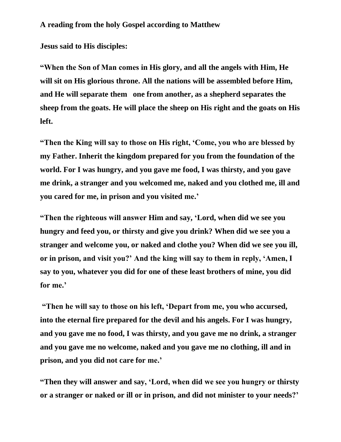**Jesus said to His disciples:**

**"When the Son of Man comes in His glory, and all the angels with Him, He will sit on His glorious throne. All the nations will be assembled before Him, and He will separate them one from another, as a shepherd separates the sheep from the goats. He will place the sheep on His right and the goats on His left.**

**"Then the King will say to those on His right, 'Come, you who are blessed by my Father. Inherit the kingdom prepared for you from the foundation of the world. For I was hungry, and you gave me food, I was thirsty, and you gave me drink, a stranger and you welcomed me, naked and you clothed me, ill and you cared for me, in prison and you visited me.'**

**"Then the righteous will answer Him and say, 'Lord, when did we see you hungry and feed you, or thirsty and give you drink? When did we see you a stranger and welcome you, or naked and clothe you? When did we see you ill, or in prison, and visit you?' And the king will say to them in reply, 'Amen, I say to you, whatever you did for one of these least brothers of mine, you did for me.'**

**"Then he will say to those on his left, 'Depart from me, you who accursed, into the eternal fire prepared for the devil and his angels. For I was hungry, and you gave me no food, I was thirsty, and you gave me no drink, a stranger and you gave me no welcome, naked and you gave me no clothing, ill and in prison, and you did not care for me.'**

**"Then they will answer and say, 'Lord, when did we see you hungry or thirsty or a stranger or naked or ill or in prison, and did not minister to your needs?'**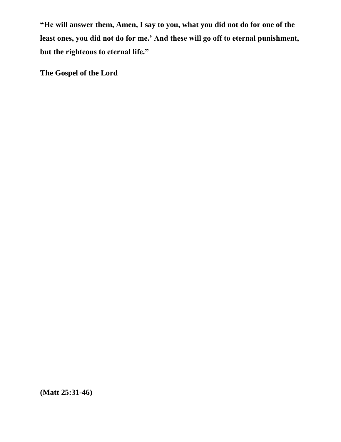**"He will answer them, Amen, I say to you, what you did not do for one of the least ones, you did not do for me.' And these will go off to eternal punishment, but the righteous to eternal life."**

**The Gospel of the Lord**

**(Matt 25:31-46)**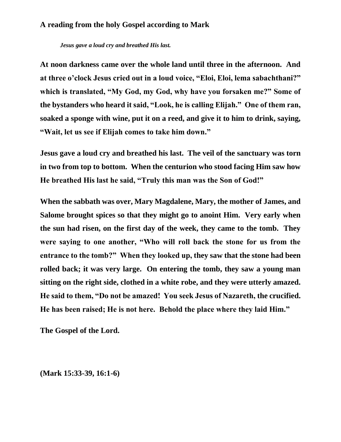*Jesus gave a loud cry and breathed His last.* 

**At noon darkness came over the whole land until three in the afternoon. And at three o'clock Jesus cried out in a loud voice, "Eloi, Eloi, lema sabachthani?" which is translated, "My God, my God, why have you forsaken me?" Some of the bystanders who heard it said, "Look, he is calling Elijah." One of them ran, soaked a sponge with wine, put it on a reed, and give it to him to drink, saying, "Wait, let us see if Elijah comes to take him down."**

**Jesus gave a loud cry and breathed his last. The veil of the sanctuary was torn in two from top to bottom. When the centurion who stood facing Him saw how He breathed His last he said, "Truly this man was the Son of God!"** 

**When the sabbath was over, Mary Magdalene, Mary, the mother of James, and Salome brought spices so that they might go to anoint Him. Very early when the sun had risen, on the first day of the week, they came to the tomb. They were saying to one another, "Who will roll back the stone for us from the entrance to the tomb?" When they looked up, they saw that the stone had been rolled back; it was very large. On entering the tomb, they saw a young man sitting on the right side, clothed in a white robe, and they were utterly amazed. He said to them, "Do not be amazed! You seek Jesus of Nazareth, the crucified. He has been raised; He is not here. Behold the place where they laid Him."**

**The Gospel of the Lord.** 

**(Mark 15:33-39, 16:1-6)**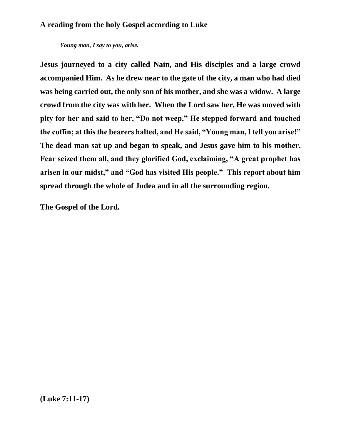*Young man, I say to you, arise.*

**Jesus journeyed to a city called Nain, and His disciples and a large crowd accompanied Him. As he drew near to the gate of the city, a man who had died was being carried out, the only son of his mother, and she was a widow. A large crowd from the city was with her. When the Lord saw her, He was moved with pity for her and said to her, "Do not weep," He stepped forward and touched the coffin; at this the bearers halted, and He said, "Young man, I tell you arise!" The dead man sat up and began to speak, and Jesus gave him to his mother. Fear seized them all, and they glorified God, exclaiming, "A great prophet has arisen in our midst," and "God has visited His people." This report about him spread through the whole of Judea and in all the surrounding region.**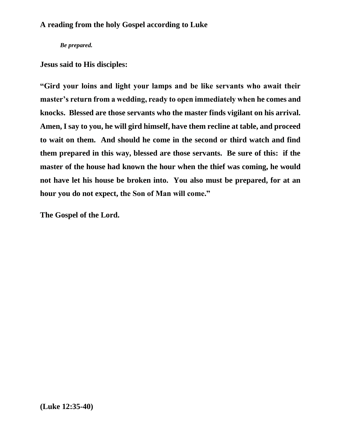*Be prepared.*

**Jesus said to His disciples:**

**"Gird your loins and light your lamps and be like servants who await their master's return from a wedding, ready to open immediately when he comes and knocks. Blessed are those servants who the master finds vigilant on his arrival. Amen, I say to you, he will gird himself, have them recline at table, and proceed to wait on them. And should he come in the second or third watch and find them prepared in this way, blessed are those servants. Be sure of this: if the master of the house had known the hour when the thief was coming, he would not have let his house be broken into. You also must be prepared, for at an hour you do not expect, the Son of Man will come."**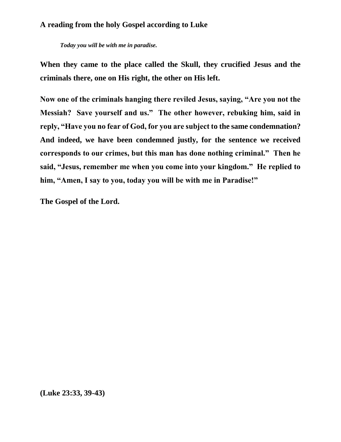*Today you will be with me in paradise.*

**When they came to the place called the Skull, they crucified Jesus and the criminals there, one on His right, the other on His left.**

**Now one of the criminals hanging there reviled Jesus, saying, "Are you not the Messiah? Save yourself and us." The other however, rebuking him, said in reply, "Have you no fear of God, for you are subject to the same condemnation? And indeed, we have been condemned justly, for the sentence we received corresponds to our crimes, but this man has done nothing criminal." Then he said, "Jesus, remember me when you come into your kingdom." He replied to him, "Amen, I say to you, today you will be with me in Paradise!"**

**The Gospel of the Lord.**

**(Luke 23:33, 39-43)**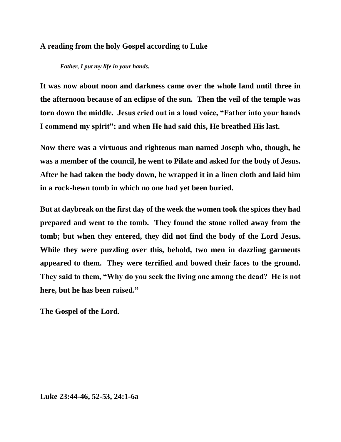*Father, I put my life in your hands.*

**It was now about noon and darkness came over the whole land until three in the afternoon because of an eclipse of the sun. Then the veil of the temple was torn down the middle. Jesus cried out in a loud voice, "Father into your hands I commend my spirit"; and when He had said this, He breathed His last.**

**Now there was a virtuous and righteous man named Joseph who, though, he was a member of the council, he went to Pilate and asked for the body of Jesus. After he had taken the body down, he wrapped it in a linen cloth and laid him in a rock-hewn tomb in which no one had yet been buried.**

**But at daybreak on the first day of the week the women took the spices they had prepared and went to the tomb. They found the stone rolled away from the tomb; but when they entered, they did not find the body of the Lord Jesus. While they were puzzling over this, behold, two men in dazzling garments appeared to them. They were terrified and bowed their faces to the ground. They said to them, "Why do you seek the living one among the dead? He is not here, but he has been raised."**

**The Gospel of the Lord.**

**Luke 23:44-46, 52-53, 24:1-6a**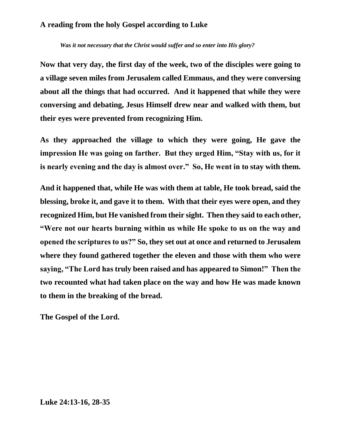*Was it not necessary that the Christ would suffer and so enter into His glory?*

**Now that very day, the first day of the week, two of the disciples were going to a village seven miles from Jerusalem called Emmaus, and they were conversing about all the things that had occurred. And it happened that while they were conversing and debating, Jesus Himself drew near and walked with them, but their eyes were prevented from recognizing Him.**

**As they approached the village to which they were going, He gave the impression He was going on farther. But they urged Him, "Stay with us, for it is nearly evening and the day is almost over." So, He went in to stay with them.**

**And it happened that, while He was with them at table, He took bread, said the blessing, broke it, and gave it to them. With that their eyes were open, and they recognized Him, but He vanished from their sight. Then they said to each other, "Were not our hearts burning within us while He spoke to us on the way and opened the scriptures to us?" So, they set out at once and returned to Jerusalem where they found gathered together the eleven and those with them who were saying, "The Lord has truly been raised and has appeared to Simon!" Then the two recounted what had taken place on the way and how He was made known to them in the breaking of the bread.**

**The Gospel of the Lord.** 

**Luke 24:13-16, 28-35**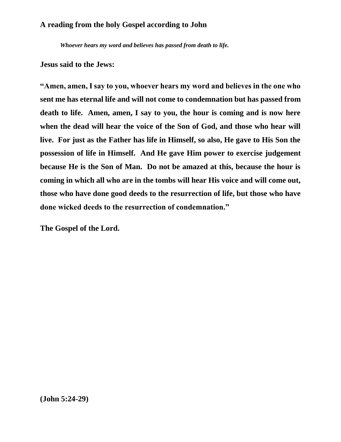*Whoever hears my word and believes has passed from death to life.*

#### **Jesus said to the Jews:**

**"Amen, amen, I say to you, whoever hears my word and believes in the one who sent me has eternal life and will not come to condemnation but has passed from death to life. Amen, amen, I say to you, the hour is coming and is now here when the dead will hear the voice of the Son of God, and those who hear will live. For just as the Father has life in Himself, so also, He gave to His Son the possession of life in Himself. And He gave Him power to exercise judgement because He is the Son of Man. Do not be amazed at this, because the hour is coming in which all who are in the tombs will hear His voice and will come out, those who have done good deeds to the resurrection of life, but those who have done wicked deeds to the resurrection of condemnation."**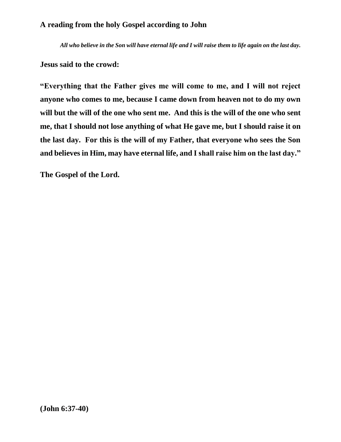*All who believe in the Son will have eternal life and I will raise them to life again on the last day.*

**Jesus said to the crowd:**

**"Everything that the Father gives me will come to me, and I will not reject anyone who comes to me, because I came down from heaven not to do my own will but the will of the one who sent me. And this is the will of the one who sent me, that I should not lose anything of what He gave me, but I should raise it on the last day. For this is the will of my Father, that everyone who sees the Son and believes in Him, may have eternal life, and I shall raise him on the last day."**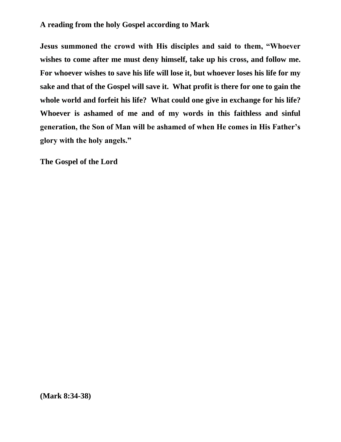**Jesus summoned the crowd with His disciples and said to them, "Whoever wishes to come after me must deny himself, take up his cross, and follow me. For whoever wishes to save his life will lose it, but whoever loses his life for my sake and that of the Gospel will save it. What profit is there for one to gain the whole world and forfeit his life? What could one give in exchange for his life? Whoever is ashamed of me and of my words in this faithless and sinful generation, the Son of Man will be ashamed of when He comes in His Father's glory with the holy angels."**

**The Gospel of the Lord**

**(Mark 8:34-38)**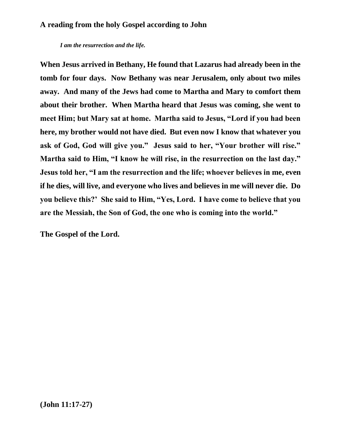*I am the resurrection and the life.*

**When Jesus arrived in Bethany, He found that Lazarus had already been in the tomb for four days. Now Bethany was near Jerusalem, only about two miles away. And many of the Jews had come to Martha and Mary to comfort them about their brother. When Martha heard that Jesus was coming, she went to meet Him; but Mary sat at home. Martha said to Jesus, "Lord if you had been here, my brother would not have died. But even now I know that whatever you ask of God, God will give you." Jesus said to her, "Your brother will rise." Martha said to Him, "I know he will rise, in the resurrection on the last day." Jesus told her, "I am the resurrection and the life; whoever believes in me, even if he dies, will live, and everyone who lives and believes in me will never die. Do you believe this?' She said to Him, "Yes, Lord. I have come to believe that you are the Messiah, the Son of God, the one who is coming into the world."**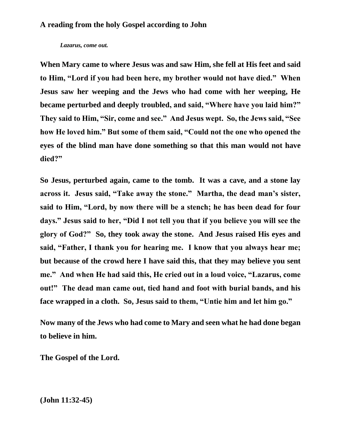#### *Lazarus, come out.*

**When Mary came to where Jesus was and saw Him, she fell at His feet and said to Him, "Lord if you had been here, my brother would not have died." When Jesus saw her weeping and the Jews who had come with her weeping, He became perturbed and deeply troubled, and said, "Where have you laid him?" They said to Him, "Sir, come and see." And Jesus wept. So, the Jews said, "See how He loved him." But some of them said, "Could not the one who opened the eyes of the blind man have done something so that this man would not have died?"**

**So Jesus, perturbed again, came to the tomb. It was a cave, and a stone lay across it. Jesus said, "Take away the stone." Martha, the dead man's sister, said to Him, "Lord, by now there will be a stench; he has been dead for four days." Jesus said to her, "Did I not tell you that if you believe you will see the glory of God?" So, they took away the stone. And Jesus raised His eyes and said, "Father, I thank you for hearing me. I know that you always hear me; but because of the crowd here I have said this, that they may believe you sent me." And when He had said this, He cried out in a loud voice, "Lazarus, come out!" The dead man came out, tied hand and foot with burial bands, and his face wrapped in a cloth. So, Jesus said to them, "Untie him and let him go."**

**Now many of the Jews who had come to Mary and seen what he had done began to believe in him.**

**The Gospel of the Lord.** 

**(John 11:32-45)**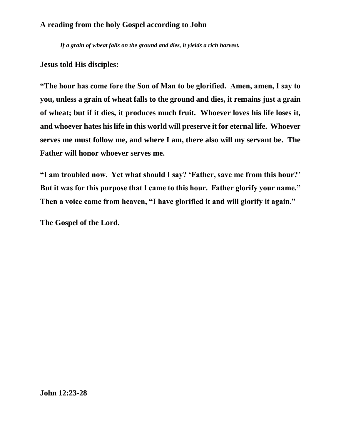*If a grain of wheat falls on the ground and dies, it yields a rich harvest.*

**Jesus told His disciples:**

**"The hour has come fore the Son of Man to be glorified. Amen, amen, I say to you, unless a grain of wheat falls to the ground and dies, it remains just a grain of wheat; but if it dies, it produces much fruit. Whoever loves his life loses it, and whoever hates his life in this world will preserve it for eternal life. Whoever serves me must follow me, and where I am, there also will my servant be. The Father will honor whoever serves me.**

**"I am troubled now. Yet what should I say? 'Father, save me from this hour?' But it was for this purpose that I came to this hour. Father glorify your name." Then a voice came from heaven, "I have glorified it and will glorify it again."**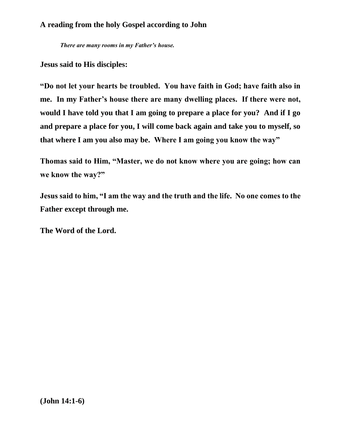*There are many rooms in my Father's house.*

**Jesus said to His disciples:**

**"Do not let your hearts be troubled. You have faith in God; have faith also in me. In my Father's house there are many dwelling places. If there were not, would I have told you that I am going to prepare a place for you? And if I go and prepare a place for you, I will come back again and take you to myself, so that where I am you also may be. Where I am going you know the way"**

**Thomas said to Him, "Master, we do not know where you are going; how can we know the way?"**

**Jesus said to him, "I am the way and the truth and the life. No one comes to the Father except through me.**

**The Word of the Lord.**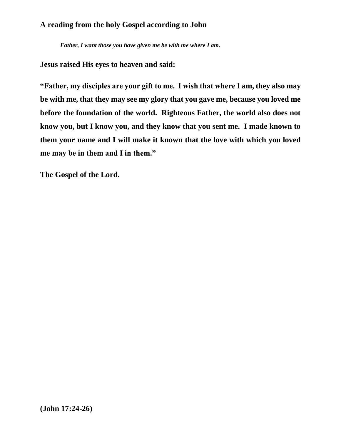*Father, I want those you have given me be with me where I am.*

**Jesus raised His eyes to heaven and said:**

**"Father, my disciples are your gift to me. I wish that where I am, they also may be with me, that they may see my glory that you gave me, because you loved me before the foundation of the world. Righteous Father, the world also does not know you, but I know you, and they know that you sent me. I made known to them your name and I will make it known that the love with which you loved me may be in them and I in them."**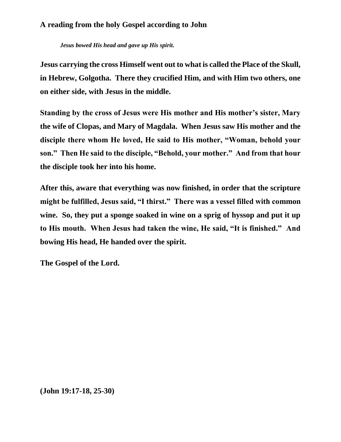*Jesus bowed His head and gave up His spirit.*

**Jesus carrying the cross Himself went out to what is called the Place of the Skull, in Hebrew, Golgotha. There they crucified Him, and with Him two others, one on either side, with Jesus in the middle.**

**Standing by the cross of Jesus were His mother and His mother's sister, Mary the wife of Clopas, and Mary of Magdala. When Jesus saw His mother and the disciple there whom He loved, He said to His mother, "Woman, behold your son." Then He said to the disciple, "Behold, your mother." And from that hour the disciple took her into his home.**

**After this, aware that everything was now finished, in order that the scripture might be fulfilled, Jesus said, "I thirst." There was a vessel filled with common wine. So, they put a sponge soaked in wine on a sprig of hyssop and put it up to His mouth. When Jesus had taken the wine, He said, "It is finished." And bowing His head, He handed over the spirit.**